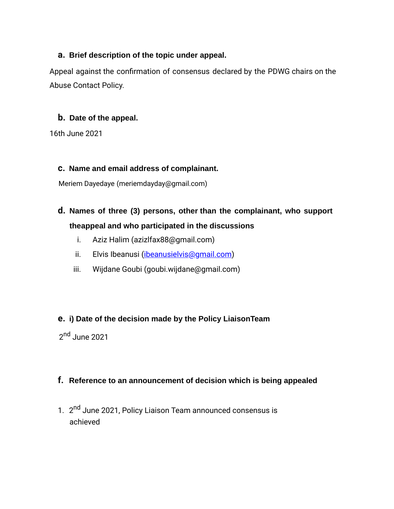## **a. Brief description of the topic under appeal.**

Appeal against the confirmation of consensus declared by the PDWG chairs on the Abuse Contact Policy.

## **b. Date of the appeal.**

16th June 2021

### **c. Name and email address of complainant.**

Meriem Dayedaye (meriemdayday@gmail.com)

# **d. Names of three (3) persons, other than the complainant, who support theappeal and who participated in the discussions**

- i. Aziz Halim (azizlfax88@gmail.com)
- ii. Elvis Ibeanusi ([ibeanusielvis@gmail.com](mailto:ibeanusielvis@gmail.com))
- iii. Wijdane Goubi (goubi.wijdane@gmail.com)

# **e. i) Date of the decision made by the Policy LiaisonTeam**

2<sup>nd</sup> June 2021

# **f. Reference to an announcement of decision which is being appealed**

1. 2<sup>nd</sup> June 2021, Policy Liaison Team announced consensus is achieved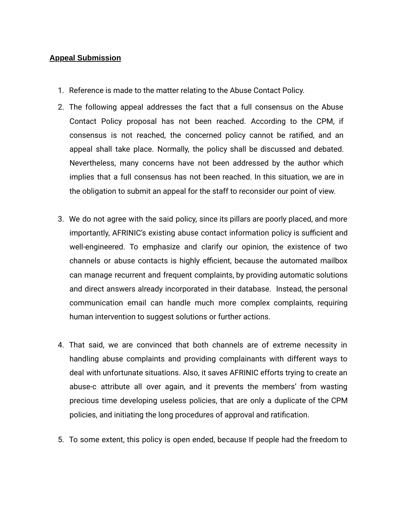#### **Appeal Submission**

- 1. Reference is made to the matter relating to the Abuse Contact Policy.
- 2. The following appeal addresses the fact that a full consensus on the Abuse Contact Policy proposal has not been reached. According to the CPM, if consensus is not reached, the concerned policy cannot be ratified, and an appeal shall take place. Normally, the policy shall be discussed and debated. Nevertheless, many concerns have not been addressed by the author which implies that a full consensus has not been reached. In this situation, we are in the obligation to submit an appeal for the staff to reconsider our point of view.
- 3. We do not agree with the said policy, since its pillars are poorly placed, and more importantly, AFRINIC's existing abuse contact information policy is sufficient and well-engineered. To emphasize and clarify our opinion, the existence of two channels or abuse contacts is highly efficient, because the automated mailbox can manage recurrent and frequent complaints, by providing automatic solutions and direct answers already incorporated in their database. Instead, the personal communication email can handle much more complex complaints, requiring human intervention to suggest solutions or further actions.
- 4. That said, we are convinced that both channels are of extreme necessity in handling abuse complaints and providing complainants with different ways to deal with unfortunate situations. Also, it saves AFRINIC efforts trying to create an abuse-c attribute all over again, and it prevents the members' from wasting precious time developing useless policies, that are only a duplicate of the CPM policies, and initiating the long procedures of approval and ratification.
- 5. To some extent, this policy is open ended, because If people had the freedom to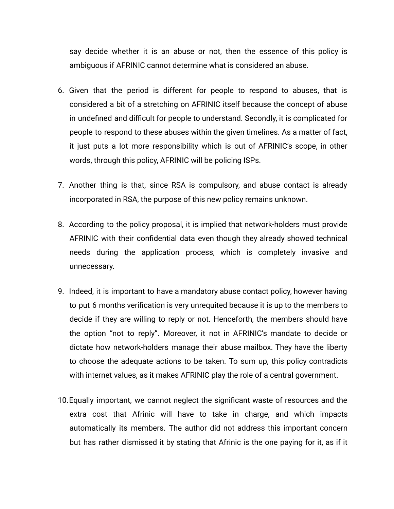say decide whether it is an abuse or not, then the essence of this policy is ambiguous if AFRINIC cannot determine what is considered an abuse.

- 6. Given that the period is different for people to respond to abuses, that is considered a bit of a stretching on AFRINIC itself because the concept of abuse in undefined and difficult for people to understand. Secondly, it is complicated for people to respond to these abuses within the given timelines. As a matter of fact, it just puts a lot more responsibility which is out of AFRINIC's scope, in other words, through this policy, AFRINIC will be policing ISPs.
- 7. Another thing is that, since RSA is compulsory, and abuse contact is already incorporated in RSA, the purpose of this new policy remains unknown.
- 8. According to the policy proposal, it is implied that network-holders must provide AFRINIC with their confidential data even though they already showed technical needs during the application process, which is completely invasive and unnecessary.
- 9. Indeed, it is important to have a mandatory abuse contact policy, however having to put 6 months verification is very unrequited because it is up to the members to decide if they are willing to reply or not. Henceforth, the members should have the option "not to reply". Moreover, it not in AFRINIC's mandate to decide or dictate how network-holders manage their abuse mailbox. They have the liberty to choose the adequate actions to be taken. To sum up, this policy contradicts with internet values, as it makes AFRINIC play the role of a central government.
- 10.Equally important, we cannot neglect the significant waste of resources and the extra cost that Afrinic will have to take in charge, and which impacts automatically its members. The author did not address this important concern but has rather dismissed it by stating that Afrinic is the one paying for it, as if it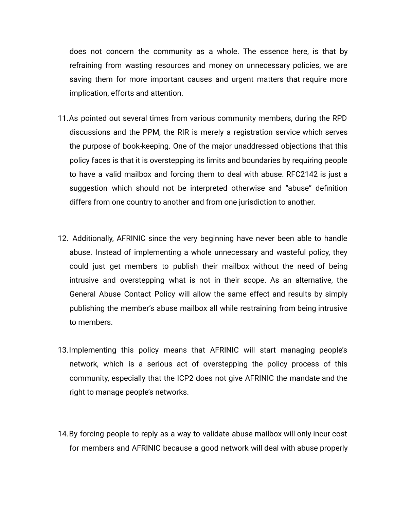does not concern the community as a whole. The essence here, is that by refraining from wasting resources and money on unnecessary policies, we are saving them for more important causes and urgent matters that require more implication, efforts and attention.

- 11.As pointed out several times from various community members, during the RPD discussions and the PPM, the RIR is merely a registration service which serves the purpose of book-keeping. One of the major unaddressed objections that this policy faces is that it is overstepping its limits and boundaries by requiring people to have a valid mailbox and forcing them to deal with abuse. RFC2142 is just a suggestion which should not be interpreted otherwise and "abuse" definition differs from one country to another and from one jurisdiction to another.
- 12. Additionally, AFRINIC since the very beginning have never been able to handle abuse. Instead of implementing a whole unnecessary and wasteful policy, they could just get members to publish their mailbox without the need of being intrusive and overstepping what is not in their scope. As an alternative, the General Abuse Contact Policy will allow the same effect and results by simply publishing the member's abuse mailbox all while restraining from being intrusive to members.
- 13.Implementing this policy means that AFRINIC will start managing people's network, which is a serious act of overstepping the policy process of this community, especially that the ICP2 does not give AFRINIC the mandate and the right to manage people's networks.
- 14.By forcing people to reply as a way to validate abuse mailbox will only incur cost for members and AFRINIC because a good network will deal with abuse properly